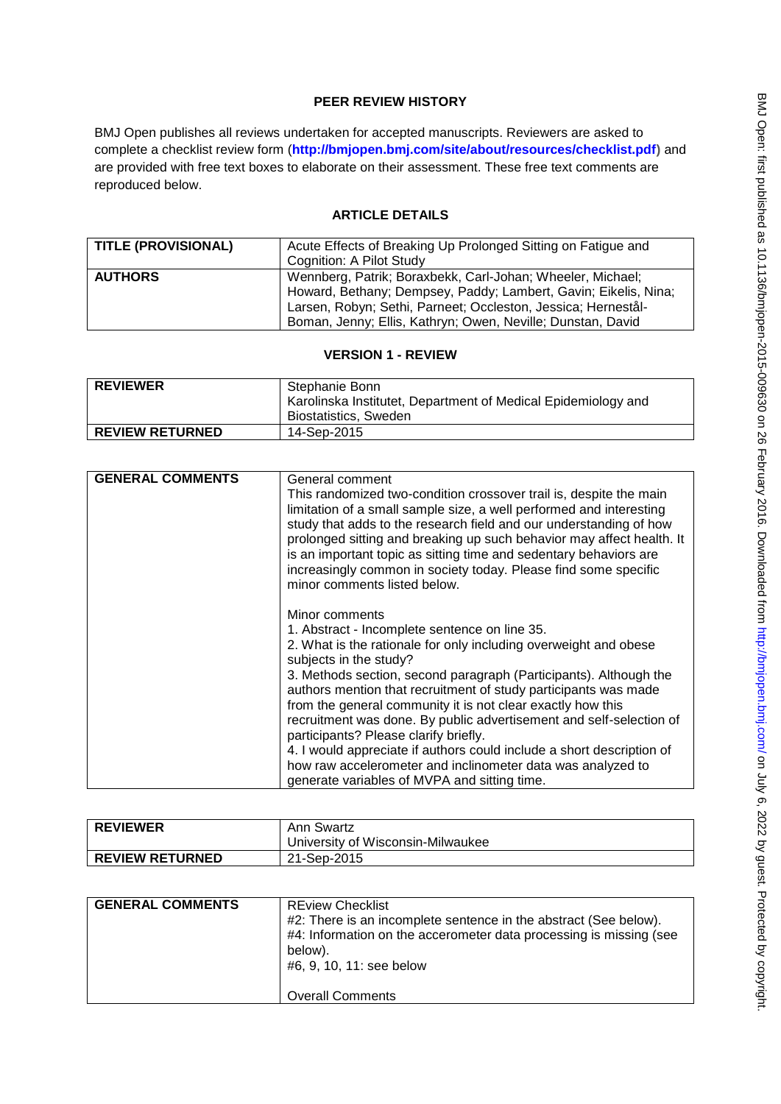# **PEER REVIEW HISTORY**

BMJ Open publishes all reviews undertaken for accepted manuscripts. Reviewers are asked to complete a checklist review form (**[http://bmjopen.bmj.com/site/about/resources/checklist.pdf\)](http://bmjopen.bmj.com/site/about/resources/checklist.pdf)** and are provided with free text boxes to elaborate on their assessment. These free text comments are reproduced below.

# **ARTICLE DETAILS**

| <b>TITLE (PROVISIONAL)</b> | Acute Effects of Breaking Up Prolonged Sitting on Fatigue and<br>Cognition: A Pilot Study                                                                                                                                                                     |
|----------------------------|---------------------------------------------------------------------------------------------------------------------------------------------------------------------------------------------------------------------------------------------------------------|
| <b>AUTHORS</b>             | Wennberg, Patrik; Boraxbekk, Carl-Johan; Wheeler, Michael;<br>Howard, Bethany; Dempsey, Paddy; Lambert, Gavin; Eikelis, Nina;<br>Larsen, Robyn; Sethi, Parneet; Occleston, Jessica; Hernestål-<br>Boman, Jenny; Ellis, Kathryn; Owen, Neville; Dunstan, David |

## **VERSION 1 - REVIEW**

| <b>REVIEWER</b>        | Stephanie Bonn<br>  Karolinska Institutet, Department of Medical Epidemiology and<br><b>Biostatistics, Sweden</b> |
|------------------------|-------------------------------------------------------------------------------------------------------------------|
| <b>REVIEW RETURNED</b> | 14-Sep-2015                                                                                                       |

| <b>GENERAL COMMENTS</b>                       | General comment                                                       |
|-----------------------------------------------|-----------------------------------------------------------------------|
|                                               | This randomized two-condition crossover trail is, despite the main    |
|                                               | limitation of a small sample size, a well performed and interesting   |
|                                               | study that adds to the research field and our understanding of how    |
|                                               | prolonged sitting and breaking up such behavior may affect health. It |
|                                               | is an important topic as sitting time and sedentary behaviors are     |
|                                               | increasingly common in society today. Please find some specific       |
|                                               | minor comments listed below.                                          |
|                                               |                                                                       |
|                                               | Minor comments                                                        |
| 1. Abstract - Incomplete sentence on line 35. |                                                                       |
|                                               | 2. What is the rationale for only including overweight and obese      |
|                                               | subjects in the study?                                                |
|                                               | 3. Methods section, second paragraph (Participants). Although the     |
|                                               | authors mention that recruitment of study participants was made       |
|                                               | from the general community it is not clear exactly how this           |
|                                               | recruitment was done. By public advertisement and self-selection of   |
|                                               | participants? Please clarify briefly.                                 |
|                                               | 4. I would appreciate if authors could include a short description of |
|                                               | how raw accelerometer and inclinometer data was analyzed to           |
|                                               | generate variables of MVPA and sitting time.                          |

| <b>REVIEWER</b>        | Ann Swartz<br>University of Wisconsin-Milwaukee |
|------------------------|-------------------------------------------------|
| <b>REVIEW RETURNED</b> | 21-Sep-2015                                     |

| <b>GENERAL COMMENTS</b> | <b>REview Checklist</b>                                            |
|-------------------------|--------------------------------------------------------------------|
|                         | #2: There is an incomplete sentence in the abstract (See below).   |
|                         | #4: Information on the accerometer data processing is missing (see |
|                         | below).                                                            |
|                         | #6, 9, 10, 11: see below                                           |
|                         |                                                                    |
|                         | <b>Overall Comments</b>                                            |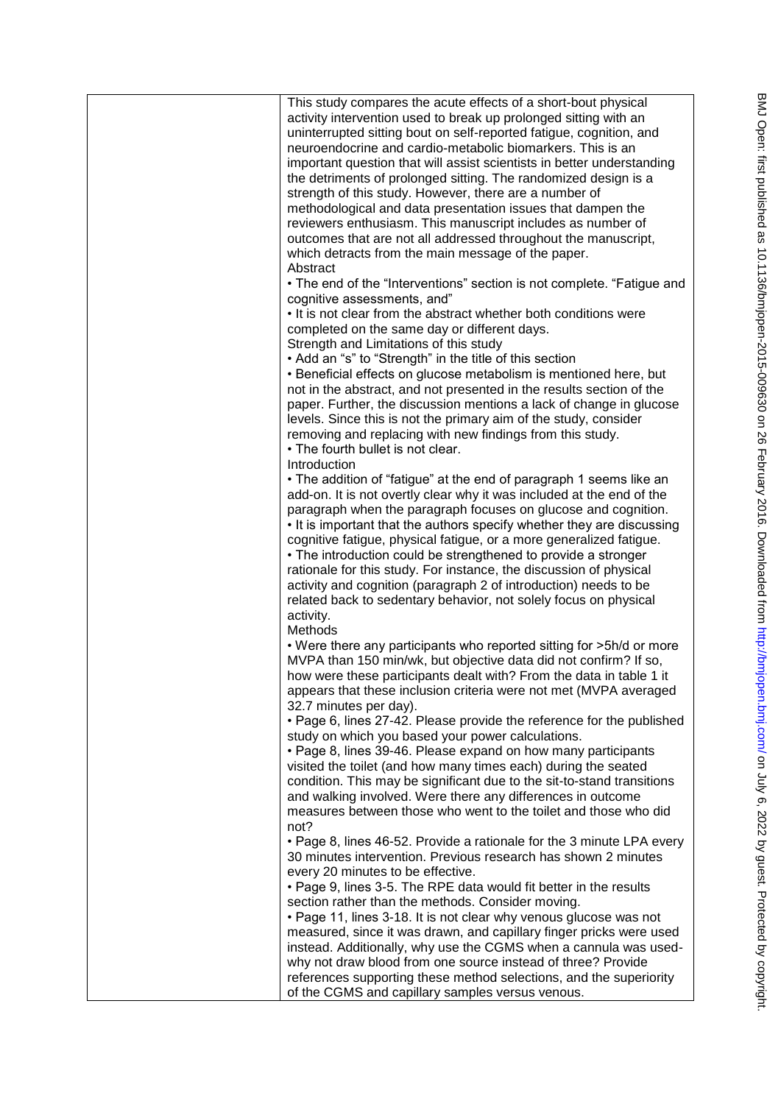| This study compares the acute effects of a short-bout physical<br>activity intervention used to break up prolonged sitting with an<br>uninterrupted sitting bout on self-reported fatigue, cognition, and<br>neuroendocrine and cardio-metabolic biomarkers. This is an<br>important question that will assist scientists in better understanding<br>the detriments of prolonged sitting. The randomized design is a<br>strength of this study. However, there are a number of<br>methodological and data presentation issues that dampen the<br>reviewers enthusiasm. This manuscript includes as number of<br>outcomes that are not all addressed throughout the manuscript,<br>which detracts from the main message of the paper.<br>Abstract<br>• The end of the "Interventions" section is not complete. "Fatigue and<br>cognitive assessments, and"<br>. It is not clear from the abstract whether both conditions were |
|-------------------------------------------------------------------------------------------------------------------------------------------------------------------------------------------------------------------------------------------------------------------------------------------------------------------------------------------------------------------------------------------------------------------------------------------------------------------------------------------------------------------------------------------------------------------------------------------------------------------------------------------------------------------------------------------------------------------------------------------------------------------------------------------------------------------------------------------------------------------------------------------------------------------------------|
| completed on the same day or different days.                                                                                                                                                                                                                                                                                                                                                                                                                                                                                                                                                                                                                                                                                                                                                                                                                                                                                  |
| Strength and Limitations of this study                                                                                                                                                                                                                                                                                                                                                                                                                                                                                                                                                                                                                                                                                                                                                                                                                                                                                        |
| • Add an "s" to "Strength" in the title of this section                                                                                                                                                                                                                                                                                                                                                                                                                                                                                                                                                                                                                                                                                                                                                                                                                                                                       |
| • Beneficial effects on glucose metabolism is mentioned here, but                                                                                                                                                                                                                                                                                                                                                                                                                                                                                                                                                                                                                                                                                                                                                                                                                                                             |
| not in the abstract, and not presented in the results section of the                                                                                                                                                                                                                                                                                                                                                                                                                                                                                                                                                                                                                                                                                                                                                                                                                                                          |
| paper. Further, the discussion mentions a lack of change in glucose                                                                                                                                                                                                                                                                                                                                                                                                                                                                                                                                                                                                                                                                                                                                                                                                                                                           |
| levels. Since this is not the primary aim of the study, consider                                                                                                                                                                                                                                                                                                                                                                                                                                                                                                                                                                                                                                                                                                                                                                                                                                                              |
| removing and replacing with new findings from this study.<br>• The fourth bullet is not clear.                                                                                                                                                                                                                                                                                                                                                                                                                                                                                                                                                                                                                                                                                                                                                                                                                                |
| Introduction                                                                                                                                                                                                                                                                                                                                                                                                                                                                                                                                                                                                                                                                                                                                                                                                                                                                                                                  |
| • The addition of "fatigue" at the end of paragraph 1 seems like an                                                                                                                                                                                                                                                                                                                                                                                                                                                                                                                                                                                                                                                                                                                                                                                                                                                           |
| add-on. It is not overtly clear why it was included at the end of the                                                                                                                                                                                                                                                                                                                                                                                                                                                                                                                                                                                                                                                                                                                                                                                                                                                         |
| paragraph when the paragraph focuses on glucose and cognition.                                                                                                                                                                                                                                                                                                                                                                                                                                                                                                                                                                                                                                                                                                                                                                                                                                                                |
| . It is important that the authors specify whether they are discussing                                                                                                                                                                                                                                                                                                                                                                                                                                                                                                                                                                                                                                                                                                                                                                                                                                                        |
| cognitive fatigue, physical fatigue, or a more generalized fatigue.<br>• The introduction could be strengthened to provide a stronger                                                                                                                                                                                                                                                                                                                                                                                                                                                                                                                                                                                                                                                                                                                                                                                         |
| rationale for this study. For instance, the discussion of physical                                                                                                                                                                                                                                                                                                                                                                                                                                                                                                                                                                                                                                                                                                                                                                                                                                                            |
| activity and cognition (paragraph 2 of introduction) needs to be                                                                                                                                                                                                                                                                                                                                                                                                                                                                                                                                                                                                                                                                                                                                                                                                                                                              |
| related back to sedentary behavior, not solely focus on physical                                                                                                                                                                                                                                                                                                                                                                                                                                                                                                                                                                                                                                                                                                                                                                                                                                                              |
| activity.                                                                                                                                                                                                                                                                                                                                                                                                                                                                                                                                                                                                                                                                                                                                                                                                                                                                                                                     |
| Methods                                                                                                                                                                                                                                                                                                                                                                                                                                                                                                                                                                                                                                                                                                                                                                                                                                                                                                                       |
| . Were there any participants who reported sitting for >5h/d or more<br>MVPA than 150 min/wk, but objective data did not confirm? If so,                                                                                                                                                                                                                                                                                                                                                                                                                                                                                                                                                                                                                                                                                                                                                                                      |
| how were these participants dealt with? From the data in table 1 it                                                                                                                                                                                                                                                                                                                                                                                                                                                                                                                                                                                                                                                                                                                                                                                                                                                           |
| appears that these inclusion criteria were not met (MVPA averaged<br>32.7 minutes per day).                                                                                                                                                                                                                                                                                                                                                                                                                                                                                                                                                                                                                                                                                                                                                                                                                                   |
| • Page 6, lines 27-42. Please provide the reference for the published                                                                                                                                                                                                                                                                                                                                                                                                                                                                                                                                                                                                                                                                                                                                                                                                                                                         |
| study on which you based your power calculations.<br>• Page 8, lines 39-46. Please expand on how many participants                                                                                                                                                                                                                                                                                                                                                                                                                                                                                                                                                                                                                                                                                                                                                                                                            |
| visited the toilet (and how many times each) during the seated                                                                                                                                                                                                                                                                                                                                                                                                                                                                                                                                                                                                                                                                                                                                                                                                                                                                |
| condition. This may be significant due to the sit-to-stand transitions                                                                                                                                                                                                                                                                                                                                                                                                                                                                                                                                                                                                                                                                                                                                                                                                                                                        |
| and walking involved. Were there any differences in outcome                                                                                                                                                                                                                                                                                                                                                                                                                                                                                                                                                                                                                                                                                                                                                                                                                                                                   |
| measures between those who went to the toilet and those who did<br>not?                                                                                                                                                                                                                                                                                                                                                                                                                                                                                                                                                                                                                                                                                                                                                                                                                                                       |
| • Page 8, lines 46-52. Provide a rationale for the 3 minute LPA every                                                                                                                                                                                                                                                                                                                                                                                                                                                                                                                                                                                                                                                                                                                                                                                                                                                         |
| 30 minutes intervention. Previous research has shown 2 minutes                                                                                                                                                                                                                                                                                                                                                                                                                                                                                                                                                                                                                                                                                                                                                                                                                                                                |
| every 20 minutes to be effective.                                                                                                                                                                                                                                                                                                                                                                                                                                                                                                                                                                                                                                                                                                                                                                                                                                                                                             |
| • Page 9, lines 3-5. The RPE data would fit better in the results                                                                                                                                                                                                                                                                                                                                                                                                                                                                                                                                                                                                                                                                                                                                                                                                                                                             |
| section rather than the methods. Consider moving.                                                                                                                                                                                                                                                                                                                                                                                                                                                                                                                                                                                                                                                                                                                                                                                                                                                                             |
| • Page 11, lines 3-18. It is not clear why venous glucose was not                                                                                                                                                                                                                                                                                                                                                                                                                                                                                                                                                                                                                                                                                                                                                                                                                                                             |
| measured, since it was drawn, and capillary finger pricks were used<br>instead. Additionally, why use the CGMS when a cannula was used-                                                                                                                                                                                                                                                                                                                                                                                                                                                                                                                                                                                                                                                                                                                                                                                       |
| why not draw blood from one source instead of three? Provide                                                                                                                                                                                                                                                                                                                                                                                                                                                                                                                                                                                                                                                                                                                                                                                                                                                                  |
| references supporting these method selections, and the superiority                                                                                                                                                                                                                                                                                                                                                                                                                                                                                                                                                                                                                                                                                                                                                                                                                                                            |
| of the CGMS and capillary samples versus venous.                                                                                                                                                                                                                                                                                                                                                                                                                                                                                                                                                                                                                                                                                                                                                                                                                                                                              |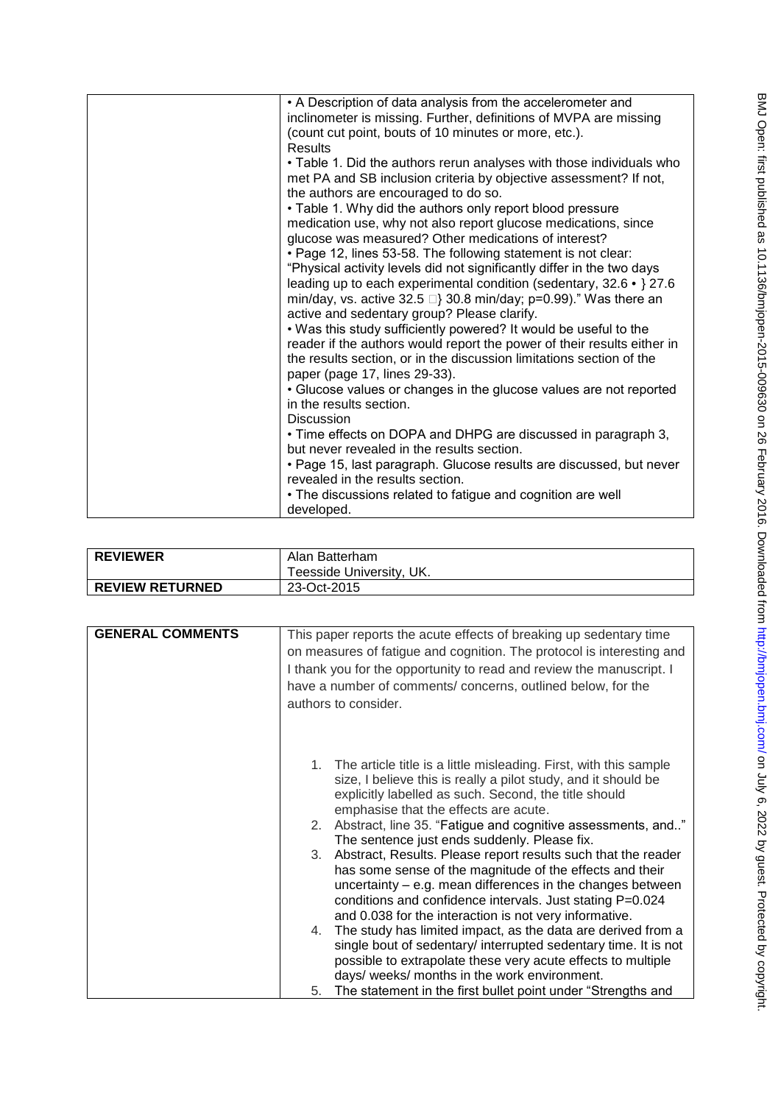| • A Description of data analysis from the accelerometer and                                                                                                                       |
|-----------------------------------------------------------------------------------------------------------------------------------------------------------------------------------|
| inclinometer is missing. Further, definitions of MVPA are missing                                                                                                                 |
| (count cut point, bouts of 10 minutes or more, etc.).                                                                                                                             |
| <b>Results</b>                                                                                                                                                                    |
| • Table 1. Did the authors rerun analyses with those individuals who<br>met PA and SB inclusion criteria by objective assessment? If not,<br>the authors are encouraged to do so. |
| • Table 1. Why did the authors only report blood pressure                                                                                                                         |
| medication use, why not also report glucose medications, since<br>glucose was measured? Other medications of interest?                                                            |
| . Page 12, lines 53-58. The following statement is not clear:                                                                                                                     |
| "Physical activity levels did not significantly differ in the two days                                                                                                            |
| leading up to each experimental condition (sedentary, $32.6 \cdot$ } 27.6                                                                                                         |
| min/day, vs. active 32.5 $\Box$ } 30.8 min/day; p=0.99)." Was there an                                                                                                            |
| active and sedentary group? Please clarify.                                                                                                                                       |
| . Was this study sufficiently powered? It would be useful to the                                                                                                                  |
| reader if the authors would report the power of their results either in                                                                                                           |
| the results section, or in the discussion limitations section of the<br>paper (page 17, lines 29-33).                                                                             |
| • Glucose values or changes in the glucose values are not reported                                                                                                                |
| in the results section.                                                                                                                                                           |
| <b>Discussion</b>                                                                                                                                                                 |
| • Time effects on DOPA and DHPG are discussed in paragraph 3,                                                                                                                     |
| but never revealed in the results section.                                                                                                                                        |
|                                                                                                                                                                                   |
| • Page 15, last paragraph. Glucose results are discussed, but never<br>revealed in the results section.                                                                           |
|                                                                                                                                                                                   |
| • The discussions related to fatigue and cognition are well                                                                                                                       |
| developed.                                                                                                                                                                        |

| <b>REVIEWER</b>        | Alan Batterham           |
|------------------------|--------------------------|
|                        | Teesside University, UK. |
| <b>REVIEW RETURNED</b> | 23-Oct-2015              |

| <b>GENERAL COMMENTS</b> | This paper reports the acute effects of breaking up sedentary time<br>on measures of fatigue and cognition. The protocol is interesting and<br>I thank you for the opportunity to read and review the manuscript. I<br>have a number of comments/ concerns, outlined below, for the<br>authors to consider.                                                                                                                                                                                                                                                                                                                                                                                                                                                                                                                                                                                                                                                                                                             |
|-------------------------|-------------------------------------------------------------------------------------------------------------------------------------------------------------------------------------------------------------------------------------------------------------------------------------------------------------------------------------------------------------------------------------------------------------------------------------------------------------------------------------------------------------------------------------------------------------------------------------------------------------------------------------------------------------------------------------------------------------------------------------------------------------------------------------------------------------------------------------------------------------------------------------------------------------------------------------------------------------------------------------------------------------------------|
|                         | The article title is a little misleading. First, with this sample<br>1.<br>size, I believe this is really a pilot study, and it should be<br>explicitly labelled as such. Second, the title should<br>emphasise that the effects are acute.<br>Abstract, line 35. "Fatigue and cognitive assessments, and"<br>2.<br>The sentence just ends suddenly. Please fix.<br>Abstract, Results. Please report results such that the reader<br>3.<br>has some sense of the magnitude of the effects and their<br>uncertainty - e.g. mean differences in the changes between<br>conditions and confidence intervals. Just stating P=0.024<br>and 0.038 for the interaction is not very informative.<br>The study has limited impact, as the data are derived from a<br>4.<br>single bout of sedentary/ interrupted sedentary time. It is not<br>possible to extrapolate these very acute effects to multiple<br>days/ weeks/ months in the work environment.<br>The statement in the first bullet point under "Strengths and<br>5. |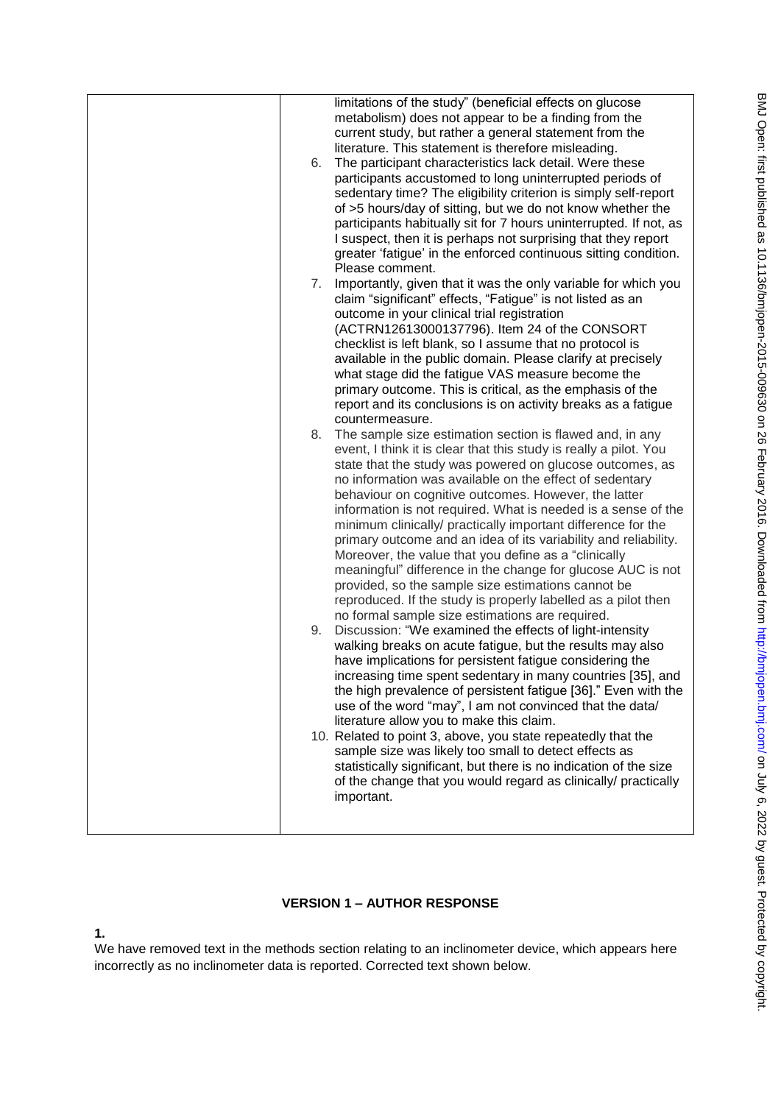| limitations of the study" (beneficial effects on glucose<br>metabolism) does not appear to be a finding from the<br>current study, but rather a general statement from the<br>literature. This statement is therefore misleading.<br>The participant characteristics lack detail. Were these<br>6.<br>participants accustomed to long uninterrupted periods of<br>sedentary time? The eligibility criterion is simply self-report<br>of >5 hours/day of sitting, but we do not know whether the<br>participants habitually sit for 7 hours uninterrupted. If not, as<br>I suspect, then it is perhaps not surprising that they report<br>greater 'fatigue' in the enforced continuous sitting condition.<br>Please comment.<br>7.<br>Importantly, given that it was the only variable for which you<br>claim "significant" effects, "Fatigue" is not listed as an<br>outcome in your clinical trial registration<br>(ACTRN12613000137796). Item 24 of the CONSORT<br>checklist is left blank, so I assume that no protocol is<br>available in the public domain. Please clarify at precisely<br>what stage did the fatigue VAS measure become the<br>primary outcome. This is critical, as the emphasis of the<br>report and its conclusions is on activity breaks as a fatigue<br>countermeasure.<br>The sample size estimation section is flawed and, in any<br>8.<br>event, I think it is clear that this study is really a pilot. You<br>state that the study was powered on glucose outcomes, as<br>no information was available on the effect of sedentary<br>behaviour on cognitive outcomes. However, the latter<br>information is not required. What is needed is a sense of the<br>minimum clinically/ practically important difference for the<br>primary outcome and an idea of its variability and reliability.<br>Moreover, the value that you define as a "clinically"<br>meaningful" difference in the change for glucose AUC is not<br>provided, so the sample size estimations cannot be<br>reproduced. If the study is properly labelled as a pilot then<br>no formal sample size estimations are required.<br>Discussion: "We examined the effects of light-intensity<br>9.<br>walking breaks on acute fatigue, but the results may also<br>have implications for persistent fatigue considering the<br>increasing time spent sedentary in many countries [35], and<br>the high prevalence of persistent fatigue [36]." Even with the<br>use of the word "may", I am not convinced that the data/<br>literature allow you to make this claim.<br>10. Related to point 3, above, you state repeatedly that the<br>sample size was likely too small to detect effects as<br>statistically significant, but there is no indication of the size |
|-----------------------------------------------------------------------------------------------------------------------------------------------------------------------------------------------------------------------------------------------------------------------------------------------------------------------------------------------------------------------------------------------------------------------------------------------------------------------------------------------------------------------------------------------------------------------------------------------------------------------------------------------------------------------------------------------------------------------------------------------------------------------------------------------------------------------------------------------------------------------------------------------------------------------------------------------------------------------------------------------------------------------------------------------------------------------------------------------------------------------------------------------------------------------------------------------------------------------------------------------------------------------------------------------------------------------------------------------------------------------------------------------------------------------------------------------------------------------------------------------------------------------------------------------------------------------------------------------------------------------------------------------------------------------------------------------------------------------------------------------------------------------------------------------------------------------------------------------------------------------------------------------------------------------------------------------------------------------------------------------------------------------------------------------------------------------------------------------------------------------------------------------------------------------------------------------------------------------------------------------------------------------------------------------------------------------------------------------------------------------------------------------------------------------------------------------------------------------------------------------------------------------------------------------------------------------------------------------------------------------------------------------------------------------------------------------------------------------------------------------------------------|
| of the change that you would regard as clinically/ practically<br>important.                                                                                                                                                                                                                                                                                                                                                                                                                                                                                                                                                                                                                                                                                                                                                                                                                                                                                                                                                                                                                                                                                                                                                                                                                                                                                                                                                                                                                                                                                                                                                                                                                                                                                                                                                                                                                                                                                                                                                                                                                                                                                                                                                                                                                                                                                                                                                                                                                                                                                                                                                                                                                                                                                    |

# **VERSION 1 – AUTHOR RESPONSE**

**1.** 

We have removed text in the methods section relating to an inclinometer device, which appears here incorrectly as no inclinometer data is reported. Corrected text shown below.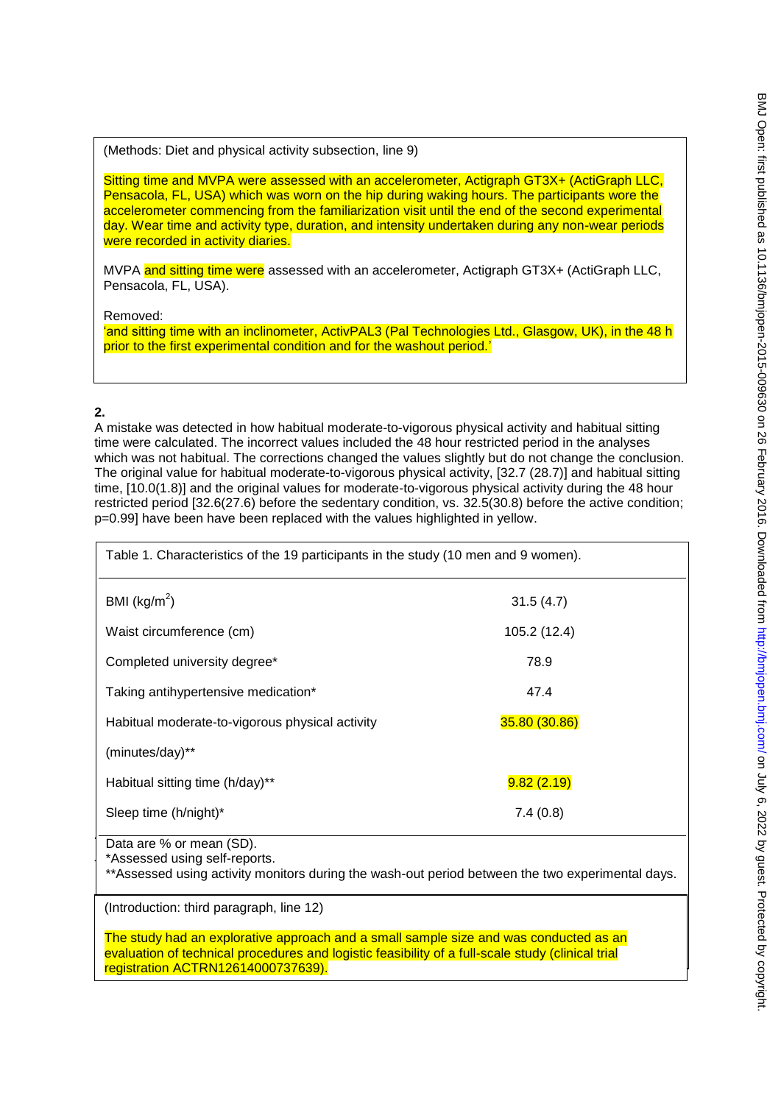(Methods: Diet and physical activity subsection, line 9)

Sitting time and MVPA were assessed with an accelerometer, Actigraph GT3X+ (ActiGraph LLC, Pensacola, FL, USA) which was worn on the hip during waking hours. The participants wore the accelerometer commencing from the familiarization visit until the end of the second experimental day. Wear time and activity type, duration, and intensity undertaken during any non-wear periods were recorded in activity diaries.

MVPA and sitting time were assessed with an accelerometer, Actigraph GT3X+ (ActiGraph LLC, Pensacola, FL, USA).

Removed:

'and sitting time with an inclinometer, ActivPAL3 (Pal Technologies Ltd., Glasgow, UK), in the 48 h prior to the first experimental condition and for the washout period.'

# **2.**

A mistake was detected in how habitual moderate-to-vigorous physical activity and habitual sitting time were calculated. The incorrect values included the 48 hour restricted period in the analyses which was not habitual. The corrections changed the values slightly but do not change the conclusion. The original value for habitual moderate-to-vigorous physical activity, [32.7 (28.7)] and habitual sitting time, [10.0(1.8)] and the original values for moderate-to-vigorous physical activity during the 48 hour restricted period [32.6(27.6) before the sedentary condition, vs. 32.5(30.8) before the active condition; p=0.99] have been have been replaced with the values highlighted in yellow.

| Table 1. Characteristics of the 19 participants in the study (10 men and 9 women).                                                                            |               |
|---------------------------------------------------------------------------------------------------------------------------------------------------------------|---------------|
| BMI ( $\text{kg/m}^2$ )                                                                                                                                       | 31.5(4.7)     |
| Waist circumference (cm)                                                                                                                                      | 105.2 (12.4)  |
| Completed university degree*                                                                                                                                  | 78.9          |
| Taking antihypertensive medication*                                                                                                                           | 47.4          |
| Habitual moderate-to-vigorous physical activity                                                                                                               | 35.80 (30.86) |
| (minutes/day)**                                                                                                                                               |               |
| Habitual sitting time (h/day)**                                                                                                                               | 9.82(2.19)    |
| Sleep time (h/night)*                                                                                                                                         | 7.4(0.8)      |
| Data are % or mean (SD).<br>*Assessed using self-reports.<br>**Assessed using activity monitors during the wash-out period between the two experimental days. |               |

(Introduction: third paragraph, line 12)

The study had an explorative approach and a small sample size and was conducted as an evaluation of technical procedures and logistic feasibility of a full-scale study (clinical trial registration ACTRN12614000737639).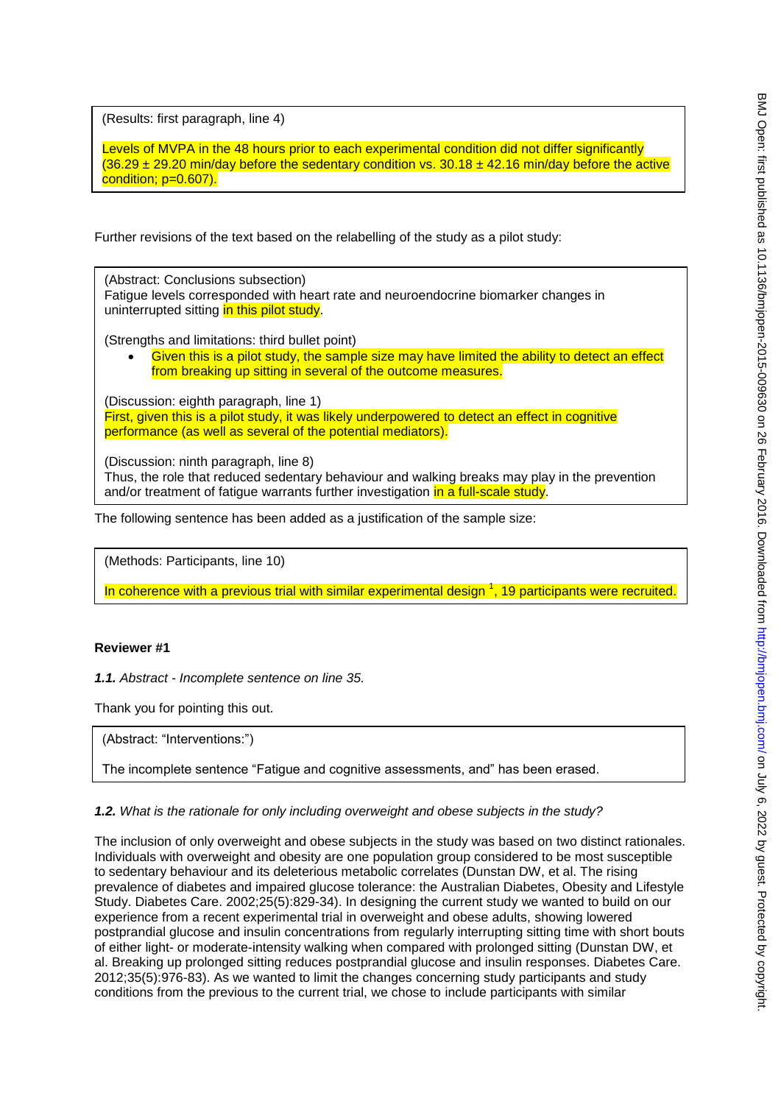(Results: first paragraph, line 4)

Levels of MVPA in the 48 hours prior to each experimental condition did not differ significantly  $(36.29 \pm 29.20 \text{ min/day}$  before the sedentary condition vs. 30.18  $\pm$  42.16 min/day before the active condition; p=0.607).

Further revisions of the text based on the relabelling of the study as a pilot study:

(Abstract: Conclusions subsection) Fatigue levels corresponded with heart rate and neuroendocrine biomarker changes in uninterrupted sitting in this pilot study.

(Strengths and limitations: third bullet point)

 Given this is a pilot study, the sample size may have limited the ability to detect an effect from breaking up sitting in several of the outcome measures.

(Discussion: eighth paragraph, line 1) First, given this is a pilot study, it was likely underpowered to detect an effect in cognitive performance (as well as several of the potential mediators).

(Discussion: ninth paragraph, line 8) Thus, the role that reduced sedentary behaviour and walking breaks may play in the prevention and/or treatment of fatigue warrants further investigation in a full-scale study.

The following sentence has been added as a justification of the sample size:

(Methods: Participants, line 10)

In coherence with a previous trial with similar experimental design  $^1$ , 19 participants were recruited.

### **Reviewer #1**

*1.1. Abstract - Incomplete sentence on line 35.* 

Thank you for pointing this out.

(Abstract: "Interventions:")

The incomplete sentence "Fatigue and cognitive assessments, and" has been erased.

*1.2. What is the rationale for only including overweight and obese subjects in the study?* 

The inclusion of only overweight and obese subjects in the study was based on two distinct rationales. Individuals with overweight and obesity are one population group considered to be most susceptible to sedentary behaviour and its deleterious metabolic correlates (Dunstan DW, et al. The rising prevalence of diabetes and impaired glucose tolerance: the Australian Diabetes, Obesity and Lifestyle Study. Diabetes Care. 2002;25(5):829-34). In designing the current study we wanted to build on our experience from a recent experimental trial in overweight and obese adults, showing lowered postprandial glucose and insulin concentrations from regularly interrupting sitting time with short bouts of either light- or moderate-intensity walking when compared with prolonged sitting (Dunstan DW, et al. Breaking up prolonged sitting reduces postprandial glucose and insulin responses. Diabetes Care. 2012;35(5):976-83). As we wanted to limit the changes concerning study participants and study conditions from the previous to the current trial, we chose to include participants with similar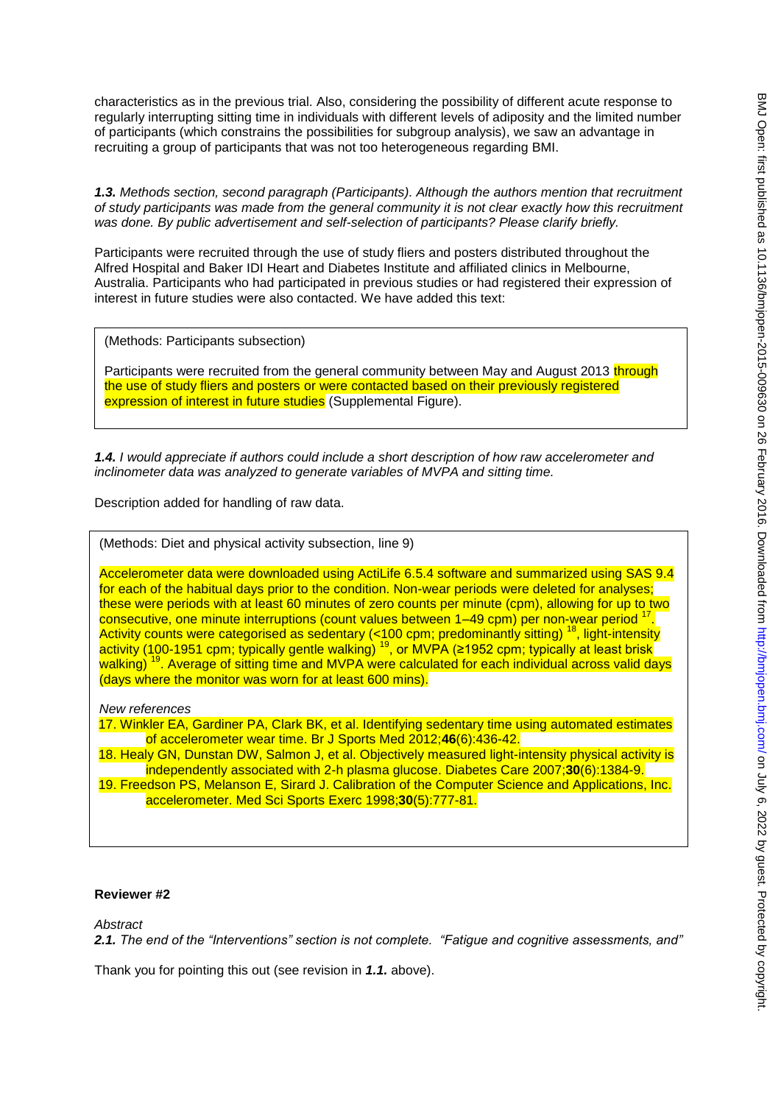characteristics as in the previous trial. Also, considering the possibility of different acute response to regularly interrupting sitting time in individuals with different levels of adiposity and the limited number of participants (which constrains the possibilities for subgroup analysis), we saw an advantage in recruiting a group of participants that was not too heterogeneous regarding BMI.

*1.3. Methods section, second paragraph (Participants). Although the authors mention that recruitment of study participants was made from the general community it is not clear exactly how this recruitment was done. By public advertisement and self-selection of participants? Please clarify briefly.* 

Participants were recruited through the use of study fliers and posters distributed throughout the Alfred Hospital and Baker IDI Heart and Diabetes Institute and affiliated clinics in Melbourne, Australia. Participants who had participated in previous studies or had registered their expression of interest in future studies were also contacted. We have added this text:

(Methods: Participants subsection)

Participants were recruited from the general community between May and August 2013 through the use of study fliers and posters or were contacted based on their previously registered expression of interest in future studies (Supplemental Figure).

*1.4. I would appreciate if authors could include a short description of how raw accelerometer and inclinometer data was analyzed to generate variables of MVPA and sitting time.* 

Description added for handling of raw data.

(Methods: Diet and physical activity subsection, line 9)

Accelerometer data were downloaded using ActiLife 6.5.4 software and summarized using SAS 9.4 for each of the habitual days prior to the condition. Non-wear periods were deleted for analyses; these were periods with at least 60 minutes of zero counts per minute (cpm), allowing for up to two consecutive, one minute interruptions (count values between 1–49 cpm) per non-wear period <sup>1</sup> . Activity counts were categorised as sedentary (<100 cpm; predominantly sitting) <sup>18</sup>, light-intensity activity (100-1951 cpm; typically gentle walking) <sup>19</sup>, or MVPA (≥1952 cpm; typically at least brisk walking)<sup>19</sup>. Average of sitting time and MVPA were calculated for each individual across valid days (days where the monitor was worn for at least 600 mins).

*New references*

17. Winkler EA, Gardiner PA, Clark BK, et al. Identifying sedentary time using automated estimates of accelerometer wear time. Br J Sports Med 2012;**46**(6):436-42.

18. Healy GN, Dunstan DW, Salmon J, et al. Objectively measured light-intensity physical activity is independently associated with 2-h plasma glucose. Diabetes Care 2007;**30**(6):1384-9. 19. Freedson PS, Melanson E, Sirard J. Calibration of the Computer Science and Applications, Inc. accelerometer. Med Sci Sports Exerc 1998;**30**(5):777-81.

#### **Reviewer #2**

*Abstract* 

*2.1. The end of the "Interventions" section is not complete. "Fatigue and cognitive assessments, and"*

Thank you for pointing this out (see revision in *1.1.* above).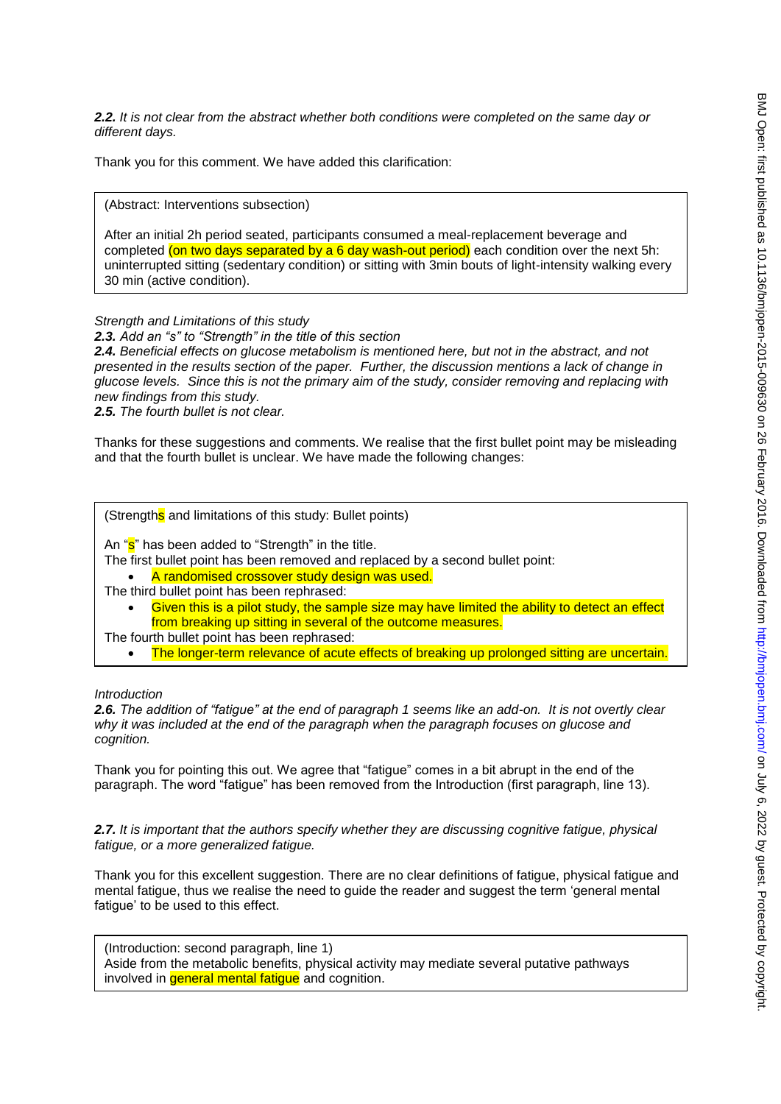*2.2. It is not clear from the abstract whether both conditions were completed on the same day or different days.* 

Thank you for this comment. We have added this clarification:

(Abstract: Interventions subsection)

After an initial 2h period seated, participants consumed a meal-replacement beverage and completed (on two days separated by a 6 day wash-out period) each condition over the next 5h: uninterrupted sitting (sedentary condition) or sitting with 3min bouts of light-intensity walking every 30 min (active condition).

#### *Strength and Limitations of this study*

*2.3. Add an "s" to "Strength" in the title of this section* 

*2.4. Beneficial effects on glucose metabolism is mentioned here, but not in the abstract, and not presented in the results section of the paper. Further, the discussion mentions a lack of change in glucose levels. Since this is not the primary aim of the study, consider removing and replacing with new findings from this study.* 

*2.5. The fourth bullet is not clear.* 

Thanks for these suggestions and comments. We realise that the first bullet point may be misleading and that the fourth bullet is unclear. We have made the following changes:

(Strengths and limitations of this study: Bullet points)

An "s" has been added to "Strength" in the title.

The first bullet point has been removed and replaced by a second bullet point:

A randomised crossover study design was used.

- The third bullet point has been rephrased:
	- Given this is a pilot study, the sample size may have limited the ability to detect an effect from breaking up sitting in several of the outcome measures.
- The fourth bullet point has been rephrased:
	- The longer-term relevance of acute effects of breaking up prolonged sitting are uncertain.

#### *Introduction*

*2.6. The addition of "fatigue" at the end of paragraph 1 seems like an add-on. It is not overtly clear why it was included at the end of the paragraph when the paragraph focuses on glucose and cognition.* 

Thank you for pointing this out. We agree that "fatigue" comes in a bit abrupt in the end of the paragraph. The word "fatigue" has been removed from the Introduction (first paragraph, line 13).

*2.7. It is important that the authors specify whether they are discussing cognitive fatigue, physical fatigue, or a more generalized fatigue.* 

Thank you for this excellent suggestion. There are no clear definitions of fatigue, physical fatigue and mental fatigue, thus we realise the need to guide the reader and suggest the term 'general mental fatigue' to be used to this effect.

(Introduction: second paragraph, line 1) Aside from the metabolic benefits, physical activity may mediate several putative pathways involved in **general mental fatigue** and cognition.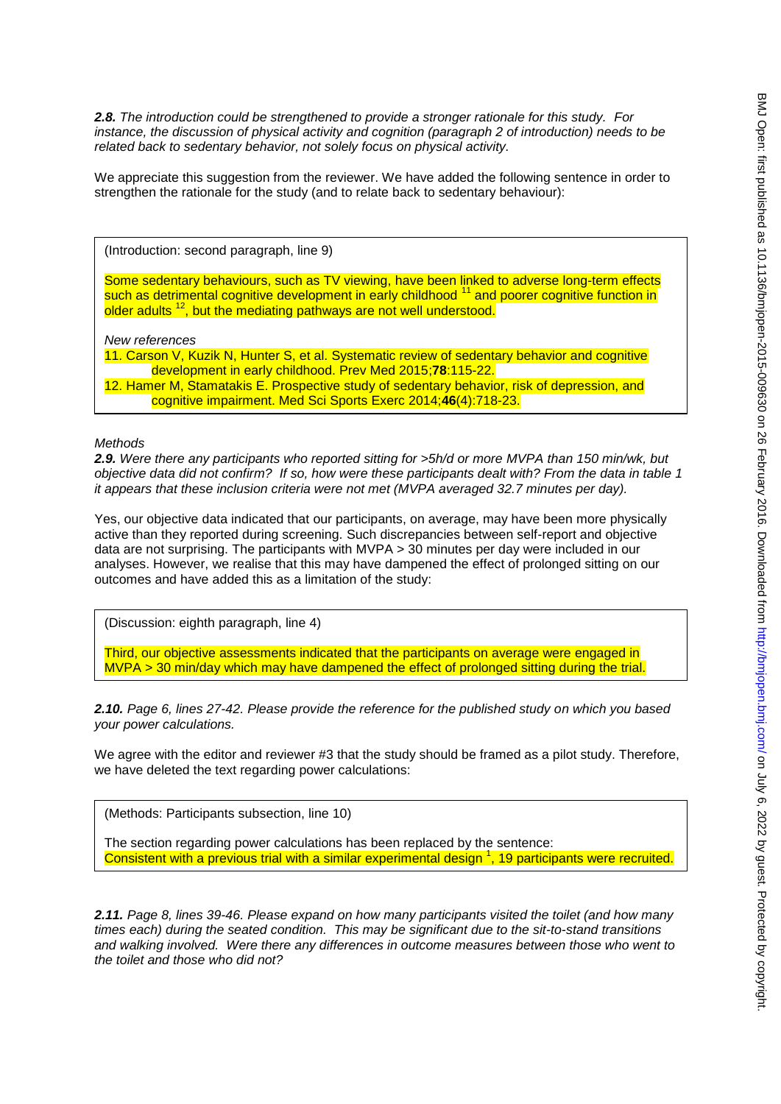*2.8. The introduction could be strengthened to provide a stronger rationale for this study. For instance, the discussion of physical activity and cognition (paragraph 2 of introduction) needs to be related back to sedentary behavior, not solely focus on physical activity.* 

We appreciate this suggestion from the reviewer. We have added the following sentence in order to strengthen the rationale for the study (and to relate back to sedentary behaviour):

(Introduction: second paragraph, line 9)

Some sedentary behaviours, such as TV viewing, have been linked to adverse long-term effects such as detrimental cognitive development in early childhood  $11$  and poorer cognitive function in older adults<sup>12</sup>, but the mediating pathways are not well understood.

*New references*

11. Carson V, Kuzik N, Hunter S, et al. Systematic review of sedentary behavior and cognitive development in early childhood. Prev Med 2015;**78**:115-22.

12. Hamer M, Stamatakis E. Prospective study of sedentary behavior, risk of depression, and cognitive impairment. Med Sci Sports Exerc 2014;**46**(4):718-23.

### *Methods*

*2.9. Were there any participants who reported sitting for >5h/d or more MVPA than 150 min/wk, but objective data did not confirm? If so, how were these participants dealt with? From the data in table 1 it appears that these inclusion criteria were not met (MVPA averaged 32.7 minutes per day).* 

Yes, our objective data indicated that our participants, on average, may have been more physically active than they reported during screening. Such discrepancies between self-report and objective data are not surprising. The participants with MVPA > 30 minutes per day were included in our analyses. However, we realise that this may have dampened the effect of prolonged sitting on our outcomes and have added this as a limitation of the study:

(Discussion: eighth paragraph, line 4)

Third, our objective assessments indicated that the participants on average were engaged in MVPA > 30 min/day which may have dampened the effect of prolonged sitting during the trial.

*2.10. Page 6, lines 27-42. Please provide the reference for the published study on which you based your power calculations.* 

We agree with the editor and reviewer #3 that the study should be framed as a pilot study. Therefore, we have deleted the text regarding power calculations:

(Methods: Participants subsection, line 10)

The section regarding power calculations has been replaced by the sentence: Consistent with a previous trial with a similar experimental design <sup>1</sup>, 19 participants were recruited.

*2.11. Page 8, lines 39-46. Please expand on how many participants visited the toilet (and how many times each) during the seated condition. This may be significant due to the sit-to-stand transitions and walking involved. Were there any differences in outcome measures between those who went to the toilet and those who did not?*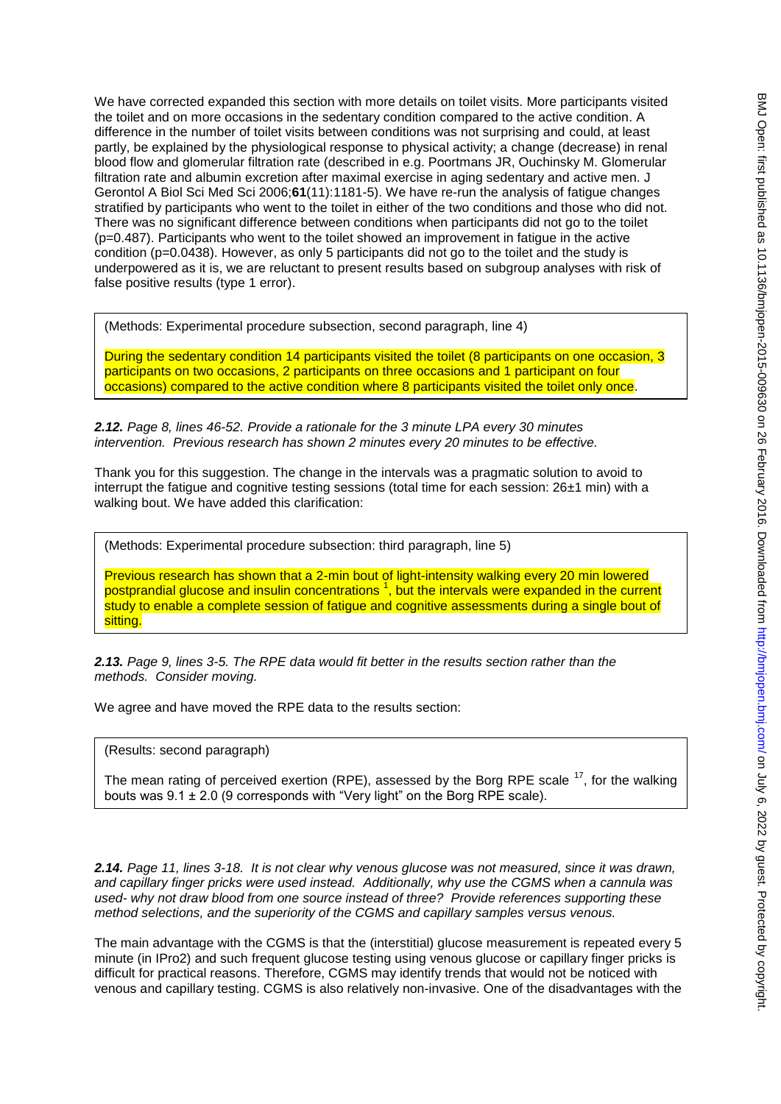We have corrected expanded this section with more details on toilet visits. More participants visited the toilet and on more occasions in the sedentary condition compared to the active condition. A difference in the number of toilet visits between conditions was not surprising and could, at least partly, be explained by the physiological response to physical activity; a change (decrease) in renal blood flow and glomerular filtration rate (described in e.g. Poortmans JR, Ouchinsky M. Glomerular filtration rate and albumin excretion after maximal exercise in aging sedentary and active men. J Gerontol A Biol Sci Med Sci 2006;**61**(11):1181-5). We have re-run the analysis of fatigue changes stratified by participants who went to the toilet in either of the two conditions and those who did not. There was no significant difference between conditions when participants did not go to the toilet (p=0.487). Participants who went to the toilet showed an improvement in fatigue in the active condition (p=0.0438). However, as only 5 participants did not go to the toilet and the study is underpowered as it is, we are reluctant to present results based on subgroup analyses with risk of false positive results (type 1 error).

(Methods: Experimental procedure subsection, second paragraph, line 4)

During the sedentary condition 14 participants visited the toilet (8 participants on one occasion, 3 participants on two occasions, 2 participants on three occasions and 1 participant on four occasions) compared to the active condition where 8 participants visited the toilet only once.

*2.12. Page 8, lines 46-52. Provide a rationale for the 3 minute LPA every 30 minutes intervention. Previous research has shown 2 minutes every 20 minutes to be effective.* 

Thank you for this suggestion. The change in the intervals was a pragmatic solution to avoid to interrupt the fatigue and cognitive testing sessions (total time for each session:  $26±1$  min) with a walking bout. We have added this clarification:

(Methods: Experimental procedure subsection: third paragraph, line 5)

Previous research has shown that a 2-min bout of light-intensity walking every 20 min lowered postprandial glucose and insulin concentrations <sup>1</sup>, but the intervals were expanded in the current study to enable a complete session of fatigue and cognitive assessments during a single bout of sitting.

*2.13. Page 9, lines 3-5. The RPE data would fit better in the results section rather than the methods. Consider moving.* 

We agree and have moved the RPE data to the results section:

(Results: second paragraph)

The mean rating of perceived exertion (RPE), assessed by the Borg RPE scale  $17$ , for the walking bouts was  $9.1 \pm 2.0$  (9 corresponds with "Very light" on the Borg RPE scale).

*2.14. Page 11, lines 3-18. It is not clear why venous glucose was not measured, since it was drawn, and capillary finger pricks were used instead. Additionally, why use the CGMS when a cannula was used- why not draw blood from one source instead of three? Provide references supporting these method selections, and the superiority of the CGMS and capillary samples versus venous.* 

The main advantage with the CGMS is that the (interstitial) glucose measurement is repeated every 5 minute (in IPro2) and such frequent glucose testing using venous glucose or capillary finger pricks is difficult for practical reasons. Therefore, CGMS may identify trends that would not be noticed with venous and capillary testing. CGMS is also relatively non-invasive. One of the disadvantages with the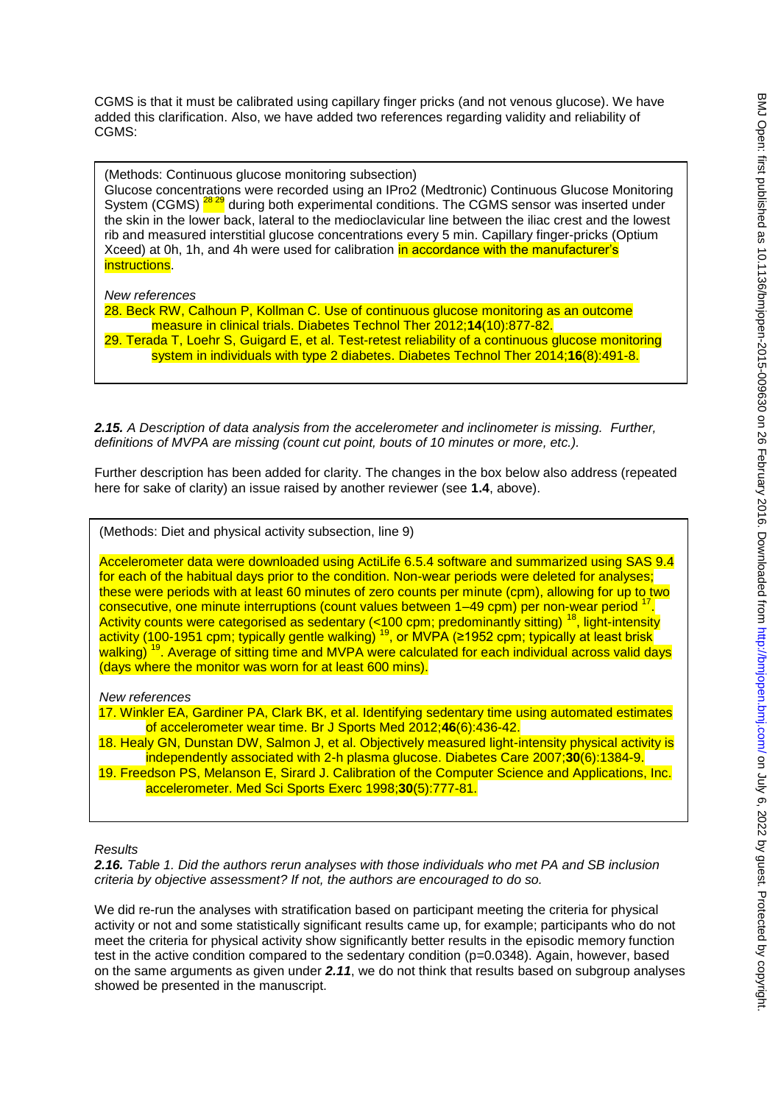CGMS is that it must be calibrated using capillary finger pricks (and not venous glucose). We have added this clarification. Also, we have added two references regarding validity and reliability of CGMS:

(Methods: Continuous glucose monitoring subsection) Glucose concentrations were recorded using an IPro2 (Medtronic) Continuous Glucose Monitoring System (CGMS) <sup>28 29</sup> during both experimental conditions. The CGMS sensor was inserted under the skin in the lower back, lateral to the medioclavicular line between the iliac crest and the lowest rib and measured interstitial glucose concentrations every 5 min. Capillary finger-pricks (Optium Xceed) at 0h, 1h, and 4h were used for calibration in accordance with the manufacturer's instructions.

### *New references*

28. Beck RW, Calhoun P, Kollman C. Use of continuous glucose monitoring as an outcome measure in clinical trials. Diabetes Technol Ther 2012;**14**(10):877-82. 29. Terada T, Loehr S, Guigard E, et al. Test-retest reliability of a continuous glucose monitoring

system in individuals with type 2 diabetes. Diabetes Technol Ther 2014;**16**(8):491-8.

*2.15. A Description of data analysis from the accelerometer and inclinometer is missing. Further, definitions of MVPA are missing (count cut point, bouts of 10 minutes or more, etc.).* 

Further description has been added for clarity. The changes in the box below also address (repeated here for sake of clarity) an issue raised by another reviewer (see **1.4**, above).

(Methods: Diet and physical activity subsection, line 9)

Accelerometer data were downloaded using ActiLife 6.5.4 software and summarized using SAS 9.4 for each of the habitual days prior to the condition. Non-wear periods were deleted for analyses; these were periods with at least 60 minutes of zero counts per minute (cpm), allowing for up to two consecutive, one minute interruptions (count values between 1–49 cpm) per non-wear period . Activity counts were categorised as sedentary (<100 cpm; predominantly sitting) <sup>18</sup>, light-intensity activity (100-1951 cpm; typically gentle walking)  $^{19}$ , or MVPA (≥1952 cpm; typically at least brisk walking)<sup>19</sup>. Average of sitting time and MVPA were calculated for each individual across valid days (days where the monitor was worn for at least 600 mins).

*New references*

17. Winkler EA, Gardiner PA, Clark BK, et al. Identifying sedentary time using automated estimates of accelerometer wear time. Br J Sports Med 2012;**46**(6):436-42.

18. Healy GN, Dunstan DW, Salmon J, et al. Objectively measured light-intensity physical activity is independently associated with 2-h plasma glucose. Diabetes Care 2007;**30**(6):1384-9.

19. Freedson PS, Melanson E, Sirard J. Calibration of the Computer Science and Applications, Inc. accelerometer. Med Sci Sports Exerc 1998;**30**(5):777-81.

*Results* 

*2.16. Table 1. Did the authors rerun analyses with those individuals who met PA and SB inclusion criteria by objective assessment? If not, the authors are encouraged to do so.* 

We did re-run the analyses with stratification based on participant meeting the criteria for physical activity or not and some statistically significant results came up, for example; participants who do not meet the criteria for physical activity show significantly better results in the episodic memory function test in the active condition compared to the sedentary condition (p=0.0348). Again, however, based on the same arguments as given under *2.11*, we do not think that results based on subgroup analyses showed be presented in the manuscript.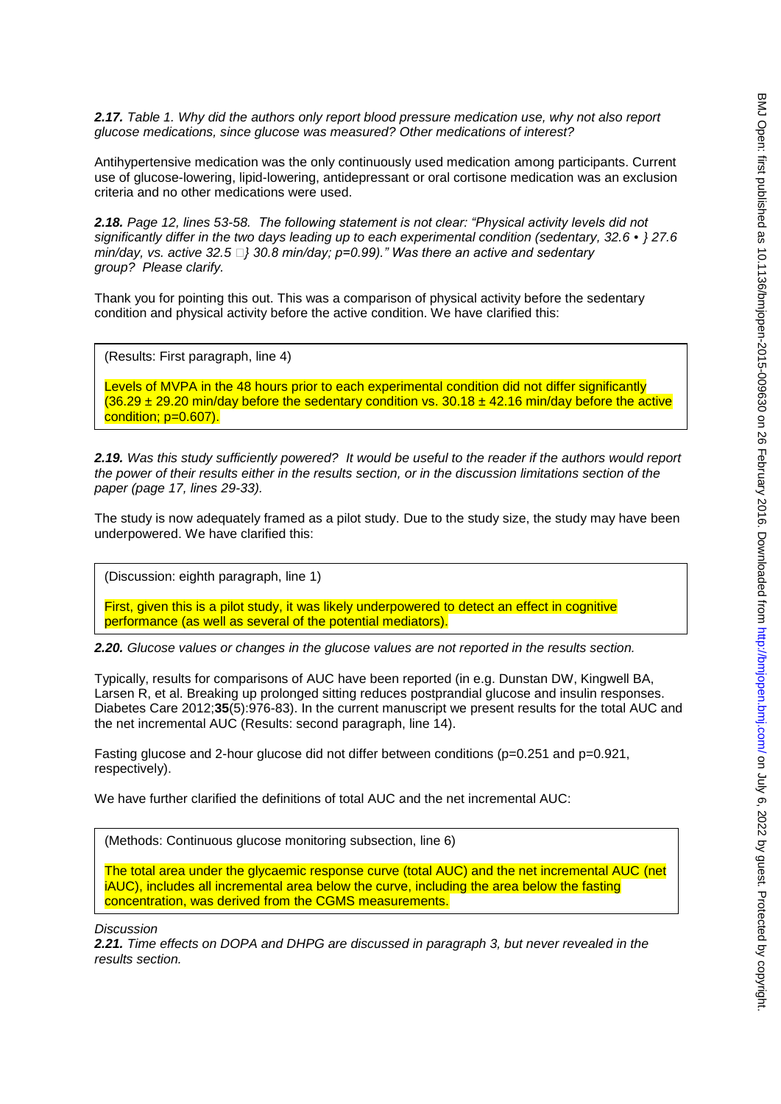*2.17. Table 1. Why did the authors only report blood pressure medication use, why not also report glucose medications, since glucose was measured? Other medications of interest?* 

Antihypertensive medication was the only continuously used medication among participants. Current use of glucose-lowering, lipid-lowering, antidepressant or oral cortisone medication was an exclusion criteria and no other medications were used.

*2.18. Page 12, lines 53-58. The following statement is not clear: "Physical activity levels did not significantly differ in the two days leading up to each experimental condition (sedentary, 32.6 •} 27.6 min/day, vs. active 32.5 } 30.8 min/day; p=0.99)." Was there an active and sedentary group? Please clarify.* 

Thank you for pointing this out. This was a comparison of physical activity before the sedentary condition and physical activity before the active condition. We have clarified this:

(Results: First paragraph, line 4)

Levels of MVPA in the 48 hours prior to each experimental condition did not differ significantly  $(36.29 \pm 29.20 \text{ min/day}$  before the sedentary condition vs.  $30.18 \pm 42.16 \text{ min/day}$  before the active condition; p=0.607).

*2.19. Was this study sufficiently powered? It would be useful to the reader if the authors would report the power of their results either in the results section, or in the discussion limitations section of the paper (page 17, lines 29-33).* 

The study is now adequately framed as a pilot study. Due to the study size, the study may have been underpowered. We have clarified this:

(Discussion: eighth paragraph, line 1)

First, given this is a pilot study, it was likely underpowered to detect an effect in cognitive performance (as well as several of the potential mediators).

*2.20. Glucose values or changes in the glucose values are not reported in the results section.* 

Typically, results for comparisons of AUC have been reported (in e.g. Dunstan DW, Kingwell BA, Larsen R, et al. Breaking up prolonged sitting reduces postprandial glucose and insulin responses. Diabetes Care 2012;**35**(5):976-83). In the current manuscript we present results for the total AUC and the net incremental AUC (Results: second paragraph, line 14).

Fasting glucose and 2-hour glucose did not differ between conditions ( $p=0.251$  and  $p=0.921$ , respectively).

We have further clarified the definitions of total AUC and the net incremental AUC:

(Methods: Continuous glucose monitoring subsection, line 6)

The total area under the glycaemic response curve (total AUC) and the net incremental AUC (net iAUC), includes all incremental area below the curve, including the area below the fasting concentration, was derived from the CGMS measurements.

*Discussion* 

*2.21. Time effects on DOPA and DHPG are discussed in paragraph 3, but never revealed in the results section.*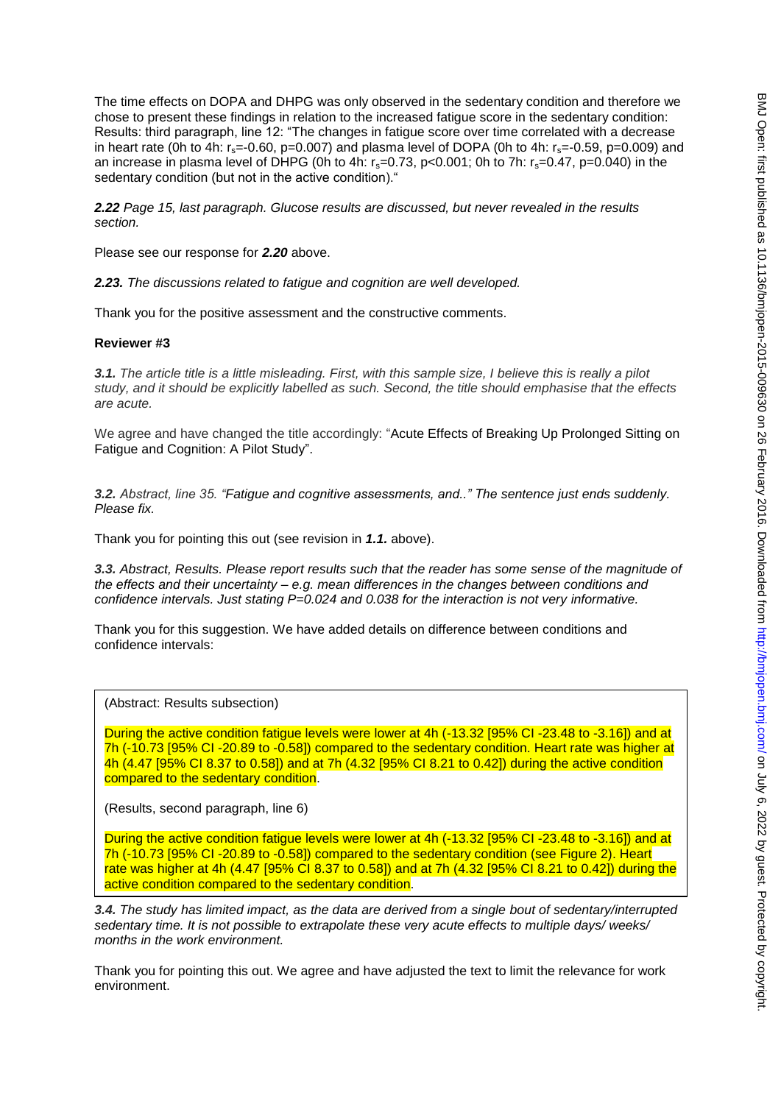The time effects on DOPA and DHPG was only observed in the sedentary condition and therefore we chose to present these findings in relation to the increased fatigue score in the sedentary condition: Results: third paragraph, line 12: "The changes in fatigue score over time correlated with a decrease in heart rate (0h to 4h:  $r_s = -0.60$ ,  $p = 0.007$ ) and plasma level of DOPA (0h to 4h:  $r_s = -0.59$ ,  $p = 0.009$ ) and an increase in plasma level of DHPG (0h to 4h:  $r_s=0.73$ , p<0.001; 0h to 7h:  $r_s=0.47$ , p=0.040) in the sedentary condition (but not in the active condition)."

*2.22 Page 15, last paragraph. Glucose results are discussed, but never revealed in the results section.* 

Please see our response for *2.20* above.

*2.23. The discussions related to fatigue and cognition are well developed.* 

Thank you for the positive assessment and the constructive comments.

#### **Reviewer #3**

*3.1. The article title is a little misleading. First, with this sample size, I believe this is really a pilot study, and it should be explicitly labelled as such. Second, the title should emphasise that the effects are acute.* 

We agree and have changed the title accordingly: "Acute Effects of Breaking Up Prolonged Sitting on Fatigue and Cognition: A Pilot Study".

*3.2. Abstract, line 35. "Fatigue and cognitive assessments, and.." The sentence just ends suddenly. Please fix.* 

Thank you for pointing this out (see revision in *1.1.* above).

*3.3. Abstract, Results. Please report results such that the reader has some sense of the magnitude of the effects and their uncertainty – e.g. mean differences in the changes between conditions and confidence intervals. Just stating P=0.024 and 0.038 for the interaction is not very informative.* 

Thank you for this suggestion. We have added details on difference between conditions and confidence intervals:

(Abstract: Results subsection)

During the active condition fatigue levels were lower at 4h (-13.32 [95% CI -23.48 to -3.16]) and at 7h (-10.73 [95% CI -20.89 to -0.58]) compared to the sedentary condition. Heart rate was higher at 4h (4.47 [95% CI 8.37 to 0.58]) and at 7h (4.32 [95% CI 8.21 to 0.42]) during the active condition compared to the sedentary condition.

(Results, second paragraph, line 6)

During the active condition fatigue levels were lower at 4h (-13.32 [95% CI -23.48 to -3.16]) and at 7h (-10.73 [95% CI -20.89 to -0.58]) compared to the sedentary condition (see Figure 2). Heart rate was higher at 4h (4.47 [95% CI 8.37 to 0.58]) and at 7h (4.32 [95% CI 8.21 to 0.42]) during the active condition compared to the sedentary condition.

*3.4. The study has limited impact, as the data are derived from a single bout of sedentary/interrupted sedentary time. It is not possible to extrapolate these very acute effects to multiple days/ weeks/ months in the work environment.* 

Thank you for pointing this out. We agree and have adjusted the text to limit the relevance for work environment.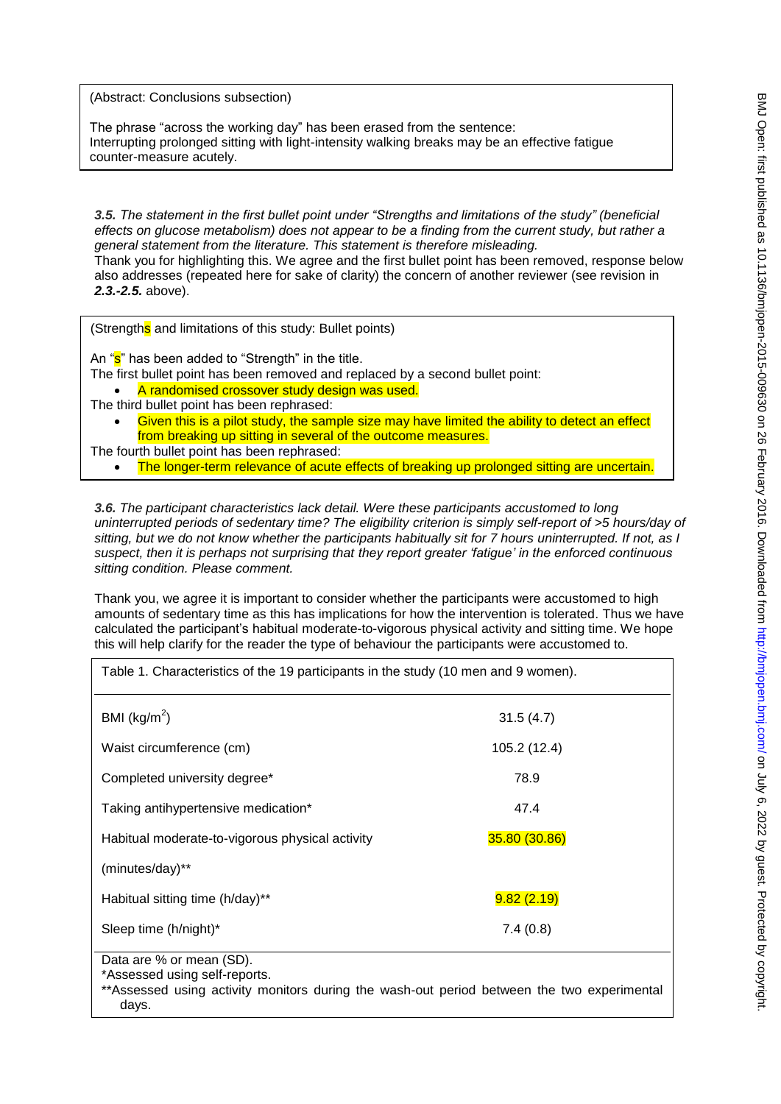(Abstract: Conclusions subsection)

The phrase "across the working day" has been erased from the sentence: Interrupting prolonged sitting with light-intensity walking breaks may be an effective fatigue counter-measure acutely.

*3.5. The statement in the first bullet point under "Strengths and limitations of the study" (beneficial effects on glucose metabolism) does not appear to be a finding from the current study, but rather a general statement from the literature. This statement is therefore misleading.* 

Thank you for highlighting this. We agree and the first bullet point has been removed, response below also addresses (repeated here for sake of clarity) the concern of another reviewer (see revision in *2.3.-2.5.* above).

(Strengths and limitations of this study: Bullet points)

An "s" has been added to "Strength" in the title.

The first bullet point has been removed and replaced by a second bullet point:

A randomised crossover study design was used.

- The third bullet point has been rephrased:
	- Given this is a pilot study, the sample size may have limited the ability to detect an effect from breaking up sitting in several of the outcome measures.
- The fourth bullet point has been rephrased:
	- The longer-term relevance of acute effects of breaking up prolonged sitting are uncertain.

*3.6. The participant characteristics lack detail. Were these participants accustomed to long uninterrupted periods of sedentary time? The eligibility criterion is simply self-report of >5 hours/day of sitting, but we do not know whether the participants habitually sit for 7 hours uninterrupted. If not, as I suspect, then it is perhaps not surprising that they report greater 'fatigue' in the enforced continuous sitting condition. Please comment.* 

Thank you, we agree it is important to consider whether the participants were accustomed to high amounts of sedentary time as this has implications for how the intervention is tolerated. Thus we have calculated the participant's habitual moderate-to-vigorous physical activity and sitting time. We hope this will help clarify for the reader the type of behaviour the participants were accustomed to.

| Table 1. Characteristics of the 19 participants in the study (10 men and 9 women). |  |  |
|------------------------------------------------------------------------------------|--|--|
| 31.5(4.7)                                                                          |  |  |
| 105.2 (12.4)                                                                       |  |  |
| 78.9                                                                               |  |  |
| 47.4                                                                               |  |  |
| 35.80 (30.86)                                                                      |  |  |
|                                                                                    |  |  |
| 9.82(2.19)                                                                         |  |  |
| 7.4(0.8)                                                                           |  |  |
|                                                                                    |  |  |

Data are % or mean (SD).

\*Assessed using self-reports.

\*\*Assessed using activity monitors during the wash-out period between the two experimental days.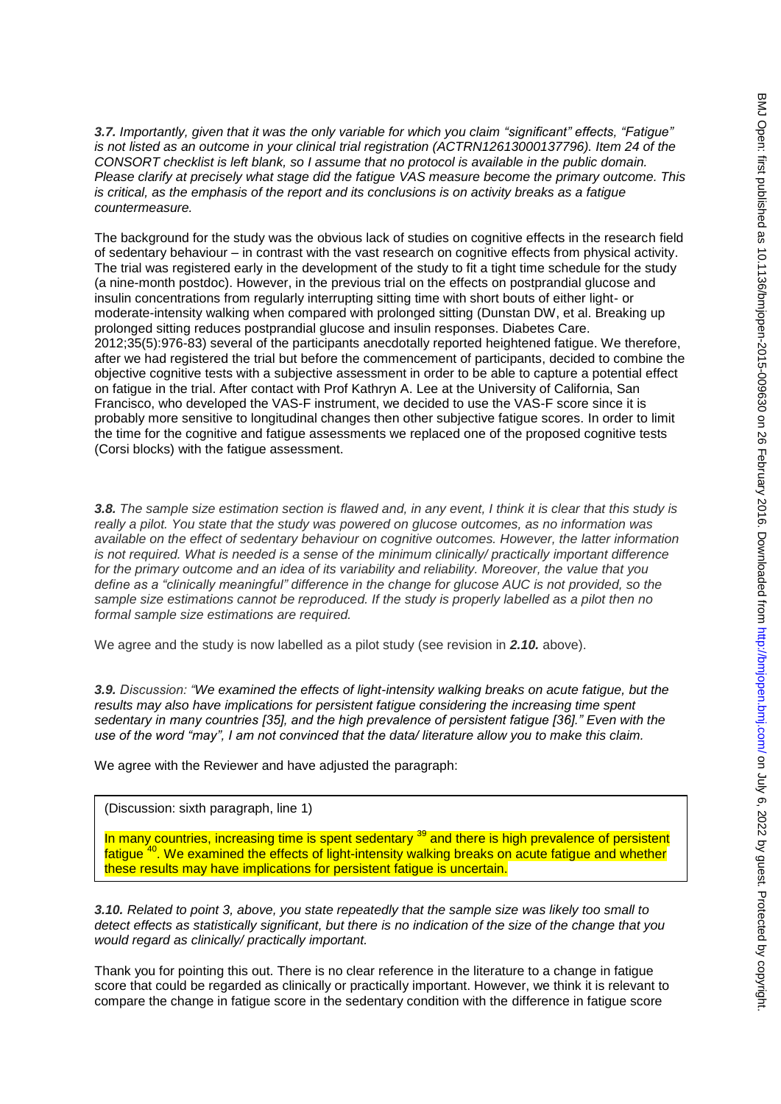*3.7. Importantly, given that it was the only variable for which you claim "significant" effects, "Fatigue" is not listed as an outcome in your clinical trial registration (ACTRN12613000137796). Item 24 of the CONSORT checklist is left blank, so I assume that no protocol is available in the public domain. Please clarify at precisely what stage did the fatigue VAS measure become the primary outcome. This is critical, as the emphasis of the report and its conclusions is on activity breaks as a fatigue countermeasure.* 

The background for the study was the obvious lack of studies on cognitive effects in the research field of sedentary behaviour – in contrast with the vast research on cognitive effects from physical activity. The trial was registered early in the development of the study to fit a tight time schedule for the study (a nine-month postdoc). However, in the previous trial on the effects on postprandial glucose and insulin concentrations from regularly interrupting sitting time with short bouts of either light- or moderate-intensity walking when compared with prolonged sitting (Dunstan DW, et al. Breaking up prolonged sitting reduces postprandial glucose and insulin responses. Diabetes Care. 2012;35(5):976-83) several of the participants anecdotally reported heightened fatigue. We therefore, after we had registered the trial but before the commencement of participants, decided to combine the objective cognitive tests with a subjective assessment in order to be able to capture a potential effect on fatigue in the trial. After contact with Prof Kathryn A. Lee at the University of California, San Francisco, who developed the VAS-F instrument, we decided to use the VAS-F score since it is probably more sensitive to longitudinal changes then other subjective fatigue scores. In order to limit the time for the cognitive and fatigue assessments we replaced one of the proposed cognitive tests (Corsi blocks) with the fatigue assessment.

*3.8. The sample size estimation section is flawed and, in any event, I think it is clear that this study is really a pilot. You state that the study was powered on glucose outcomes, as no information was available on the effect of sedentary behaviour on cognitive outcomes. However, the latter information is not required. What is needed is a sense of the minimum clinically/ practically important difference for the primary outcome and an idea of its variability and reliability. Moreover, the value that you define as a "clinically meaningful" difference in the change for glucose AUC is not provided, so the sample size estimations cannot be reproduced. If the study is properly labelled as a pilot then no formal sample size estimations are required.* 

We agree and the study is now labelled as a pilot study (see revision in *2.10.* above).

*3.9. Discussion: "We examined the effects of light-intensity walking breaks on acute fatigue, but the results may also have implications for persistent fatigue considering the increasing time spent sedentary in many countries [35], and the high prevalence of persistent fatigue [36]." Even with the use of the word "may", I am not convinced that the data/ literature allow you to make this claim.* 

We agree with the Reviewer and have adjusted the paragraph:

(Discussion: sixth paragraph, line 1)

In many countries, increasing time is spent sedentary <sup>39</sup> and there is high prevalence of persistent fatigue <sup>40</sup>. We examined the effects of light-intensity walking breaks on acute fatigue and whether these results may have implications for persistent fatigue is uncertain.

*3.10. Related to point 3, above, you state repeatedly that the sample size was likely too small to detect effects as statistically significant, but there is no indication of the size of the change that you would regard as clinically/ practically important.* 

Thank you for pointing this out. There is no clear reference in the literature to a change in fatigue score that could be regarded as clinically or practically important. However, we think it is relevant to compare the change in fatigue score in the sedentary condition with the difference in fatigue score